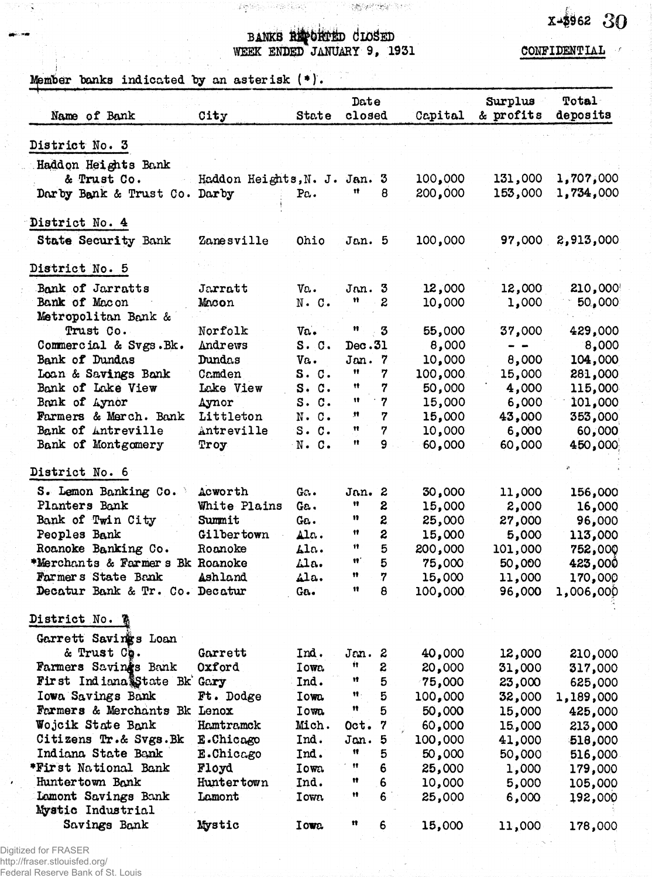## BANKS REPORTED CLOSED WEEK ENDED JANUARY 9, 1931

CONFIDENTIAL

 $x - 3962$  30

Member banks indicated by an asterisk (\*).

| Name of Bank                    | City                       | State        | Date<br>closed      |                  | Capital | Surplus<br>& profits | Total<br>deposits |
|---------------------------------|----------------------------|--------------|---------------------|------------------|---------|----------------------|-------------------|
| District No. 3                  |                            |              |                     |                  |         |                      |                   |
| Haddon Heights Bank             |                            |              |                     |                  |         |                      |                   |
| & Trust Co.                     | Haddon Heights, N. J. Jan. |              |                     | 3                | 100,000 | 131,000              | 1,707,000         |
| Darby Bank & Trust Co. Darby    |                            | Pa.          | 11                  | 8                | 200,000 | 153,000              | 1,734,000         |
|                                 |                            |              |                     |                  |         |                      |                   |
| District No. 4                  |                            |              |                     |                  |         |                      |                   |
| <b>State Security Bank</b>      | Zanesville                 | Ohio         | Jan. 5              |                  | 100,000 |                      | 97,000 2,913,000  |
| District No. 5                  |                            |              |                     |                  |         |                      |                   |
| Bank of Jarratts                | Jarratt                    | Va.          | Jan.3               |                  | 12,000  | 12,000               | 210,000           |
| Bank of Macon                   | Macon                      | $N - C$ .    | Ħ                   | $\boldsymbol{2}$ | 10,000  | 1,000                | 50,000            |
| Metropolitan Bank &             |                            |              |                     |                  |         |                      |                   |
| Trust Co.                       | Norfolk                    | Va.          | Ħ                   | $\boldsymbol{3}$ | 55,000  | 37,000               | 429,000           |
| Commercial & Svgs.Bk.           | Andrews                    | S. C.        | Dec.31              |                  | 8,000   |                      | 8,000             |
| Bank of Dundas                  | Dundas                     | Va.          | Jan.7               |                  | 10,000  | 8,000                | 104,000           |
| Loan & Savings Bank             | Camden                     | S. C.        | 11                  | 7                | 100,000 | 15,000               | 281,000           |
| Bank of Lake View               | Lake View                  | S. C.        | Ħ                   | 7                | 50,000  | 4,000                | 115,000           |
| Bank of Aynor                   | Aynor                      | S. C.        | Ħ                   | $\boldsymbol{7}$ | 15,000  | 6,000                | 101,000           |
| Farmers & Merch. Bank           | Littleton                  | $N - C$ .    | n                   | 7                | 15,000  | 43,000               | 353,000           |
| Bank of Antreville              | Antreville                 | $S$ . $C$ .  | Ħ                   | 7                | 10,000  | 6,000                | 60,000            |
| Bank of Montgomery              | Troy                       | $N - C$ .    | 11                  | 9                | 60,000  | 60,000               | 450,000           |
| District No. 6                  |                            |              |                     |                  |         |                      |                   |
| S. Lemon Banking Co.            | Acworth                    | Ga.          | Jan.                | 2                | 30,000  | 11,000               | 156,000           |
| Planters Bank                   | White Plains               | Ga.          | Ħ                   | 2                | 15,000  | 2,000                | 16,000            |
| Bank of Twin City               | Summit                     | Ga.          | n                   | 2                | 25,000  | 27,000               | 96,000            |
| Peoples Bank                    | Gilbertown                 | Ala.         | Ħ                   | $\boldsymbol{z}$ | 15,000  | 5,000                | 113,000           |
| Roanoke Banking Co.             | Roanoke                    | Ala.         | Ħ                   | 5                | 200,000 | 101,000              | 752,000           |
| *Merchants & Farmers Bk Roanoke |                            | Ala.         | w                   | $5\phantom{1}$   | 75,000  | 50,000               | 423,000           |
| Farmers State Bank              | Ashland                    | Ala.         | n                   | 7                | 15,000  | 11,000               | 170,000           |
| Decatur Bank & Tr. Co.          | Decatur                    | Ga.          | 11                  | 8                | 100,000 | 96,000               | 1,006,000         |
| District No.                    |                            |              |                     |                  |         |                      |                   |
| Garrett Savings Loan            |                            |              |                     |                  |         |                      |                   |
| & Trust Ch.                     | Garrett                    | Ind.         | Jan. 2              |                  | 40,000  | 12,000               | 210,000           |
| Farmers Savings Bank            | Oxford                     | I own        | Ĥ.                  | S.               | 20,000  | 31,000               | 317,000           |
| First Indiana State Bk Gary     |                            | Ind.         | Ħ                   | 5                | 75,000  | 23,000               | 625,000           |
| Iowa Savings Bank               | Ft. Dodge                  | Iowa.        | $\mathbf{u}_1$      | 5                | 100,000 | 32,000               | 1,189,000         |
| Farmers & Merchants Bk Lenox    |                            | Iowa         | n                   | $\overline{5}$   | 50,000  | 15,000               | 425,000           |
| Wojcik State Bank               | Hamtramck                  | Mich.        | Oct.                | 7                | 60,000  | 15,000               | 213,000           |
| Citizens Tr.& Svgs.Bk           | E.Chicago                  | Ind.         | Jan.                | 5                | 100,000 | 41,000               | 518,000           |
| Indiana State Bank              | E.Chicago                  | Ind.         | Ħ                   | 5                | 50,000  | 50,000               | 516,000           |
| *First National Bank            | Floyd                      | Iowa         | $^{\bullet\bullet}$ | 6                | 25,000  | 1,000                | 179,000           |
| Huntertown Bank                 | Huntertown                 | Ind.         | Ħ                   | 6                | 10,000  | 5,000                | 105,000           |
| Lamont Savings Bank             | Lamont                     | <b>I</b> own | Ħ                   | 6                | 25,000  | 6,000                |                   |
| Mystic Industrial               |                            |              |                     |                  |         |                      | 192,000           |
| Savings Bank                    | Mystic                     | Iowa.        | n                   | 6                | 15,000  | 11,000               | 178,000           |

Digitized for FRASER http://fraser.stlouisfed.org/<br>Federal Reserve Bank of St. Louis